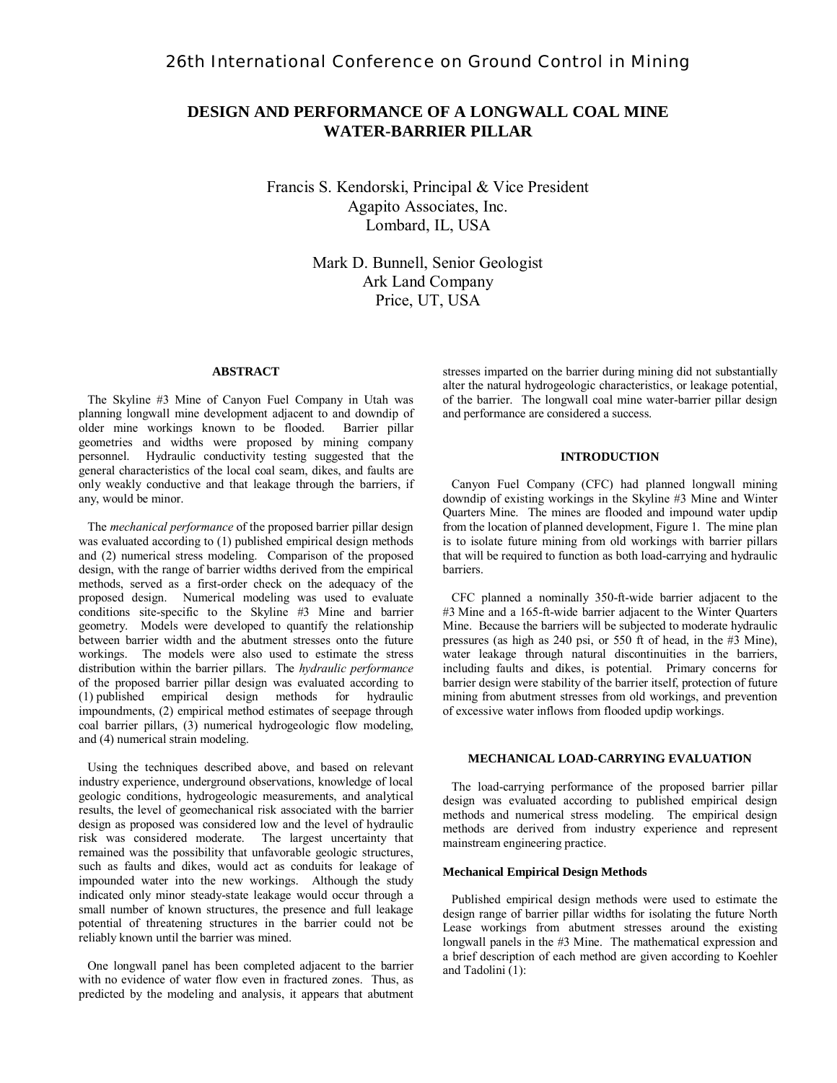## **DESIGN AND PERFORMANCE OF A LONGWALL COAL MINE WATER-BARRIER PILLAR**

Francis S. Kendorski, Principal & Vice President Agapito Associates, Inc. Lombard, IL, USA

> Mark D. Bunnell, Senior Geologist Ark Land Company Price, UT, USA

#### **ABSTRACT**

 The Skyline #3 Mine of Canyon Fuel Company in Utah was planning longwall mine development adjacent to and downdip of older mine workings known to be flooded. Barrier pillar geometries and widths were proposed by mining company personnel. Hydraulic conductivity testing suggested that the general characteristics of the local coal seam, dikes, and faults are only weakly conductive and that leakage through the barriers, if any, would be minor.

 The *mechanical performance* of the proposed barrier pillar design was evaluated according to (1) published empirical design methods and (2) numerical stress modeling. Comparison of the proposed design, with the range of barrier widths derived from the empirical methods, served as a first-order check on the adequacy of the proposed design. Numerical modeling was used to evaluate conditions site-specific to the Skyline #3 Mine and barrier geometry. Models were developed to quantify the relationship between barrier width and the abutment stresses onto the future workings. The models were also used to estimate the stress distribution within the barrier pillars. The *hydraulic performance*  of the proposed barrier pillar design was evaluated according to (1) published empirical design methods for hydraulic impoundments, (2) empirical method estimates of seepage through coal barrier pillars, (3) numerical hydrogeologic flow modeling, and (4) numerical strain modeling.

 Using the techniques described above, and based on relevant industry experience, underground observations, knowledge of local geologic conditions, hydrogeologic measurements, and analytical results, the level of geomechanical risk associated with the barrier design as proposed was considered low and the level of hydraulic risk was considered moderate. The largest uncertainty that remained was the possibility that unfavorable geologic structures, such as faults and dikes, would act as conduits for leakage of impounded water into the new workings. Although the study indicated only minor steady-state leakage would occur through a small number of known structures, the presence and full leakage potential of threatening structures in the barrier could not be reliably known until the barrier was mined.

 One longwall panel has been completed adjacent to the barrier with no evidence of water flow even in fractured zones. Thus, as predicted by the modeling and analysis, it appears that abutment stresses imparted on the barrier during mining did not substantially alter the natural hydrogeologic characteristics, or leakage potential, of the barrier. The longwall coal mine water-barrier pillar design and performance are considered a success.

### **INTRODUCTION**

 Canyon Fuel Company (CFC) had planned longwall mining downdip of existing workings in the Skyline #3 Mine and Winter Quarters Mine. The mines are flooded and impound water updip from the location of planned development, Figure 1. The mine plan is to isolate future mining from old workings with barrier pillars that will be required to function as both load-carrying and hydraulic barriers.

 CFC planned a nominally 350-ft-wide barrier adjacent to the #3 Mine and a 165-ft-wide barrier adjacent to the Winter Quarters Mine. Because the barriers will be subjected to moderate hydraulic pressures (as high as 240 psi, or 550 ft of head, in the #3 Mine), water leakage through natural discontinuities in the barriers, including faults and dikes, is potential. Primary concerns for barrier design were stability of the barrier itself, protection of future mining from abutment stresses from old workings, and prevention of excessive water inflows from flooded updip workings.

## **MECHANICAL LOAD-CARRYING EVALUATION**

 The load-carrying performance of the proposed barrier pillar design was evaluated according to published empirical design methods and numerical stress modeling. The empirical design methods are derived from industry experience and represent mainstream engineering practice.

#### **Mechanical Empirical Design Methods**

 Published empirical design methods were used to estimate the design range of barrier pillar widths for isolating the future North Lease workings from abutment stresses around the existing longwall panels in the #3 Mine. The mathematical expression and a brief description of each method are given according to Koehler and Tadolini (1):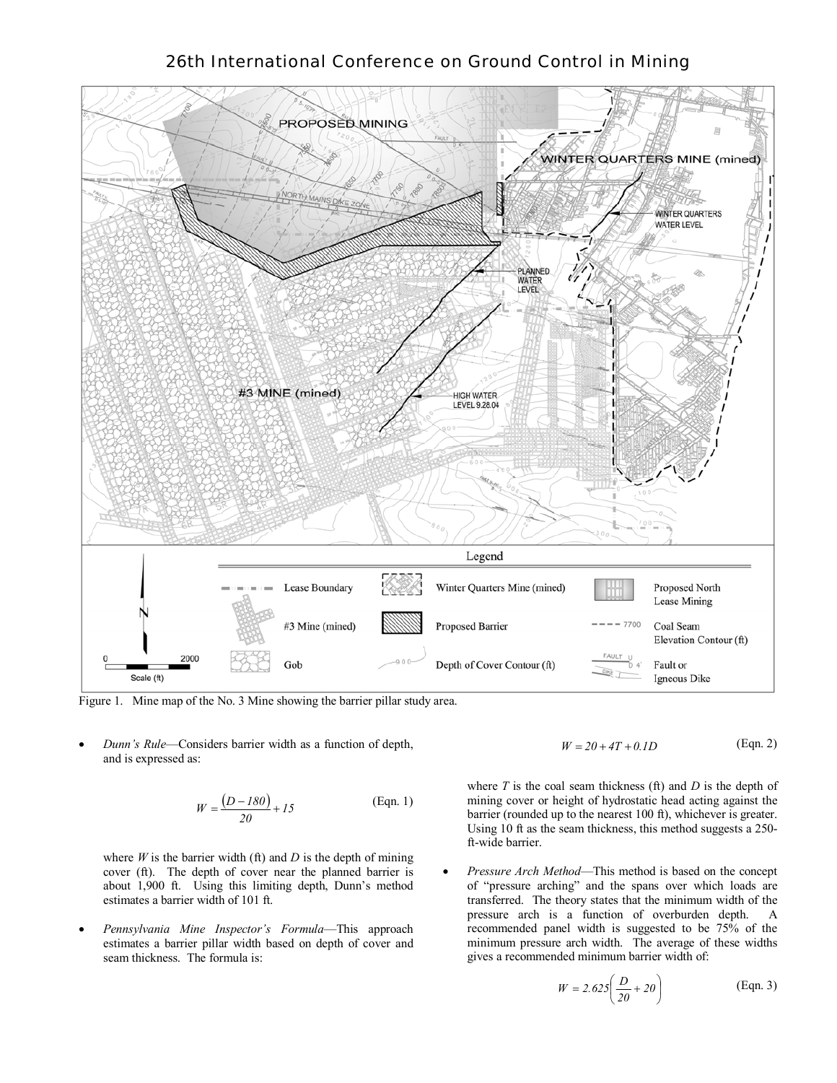

Figure 1. Mine map of the No. 3 Mine showing the barrier pillar study area.

• *Dunn's Rule*—Considers barrier width as a function of depth, and is expressed as:

$$
W = \frac{(D - 180)}{20} + 15
$$
 (Eqn. 1)

where  $W$  is the barrier width (ft) and  $D$  is the depth of mining cover (ft). The depth of cover near the planned barrier is about 1,900 ft. Using this limiting depth, Dunn's method estimates a barrier width of 101 ft.

• *Pennsylvania Mine Inspector's Formula*—This approach estimates a barrier pillar width based on depth of cover and seam thickness. The formula is:

 (Eqn. 2) *W* = *20* + *4T* + *0.1D*

where  $T$  is the coal seam thickness (ft) and  $D$  is the depth of mining cover or height of hydrostatic head acting against the barrier (rounded up to the nearest 100 ft), whichever is greater. Using 10 ft as the seam thickness, this method suggests a 250 ft-wide barrier.

• *Pressure Arch Method*—This method is based on the concept of "pressure arching" and the spans over which loads are transferred. The theory states that the minimum width of the pressure arch is a function of overburden depth. A recommended panel width is suggested to be 75% of the minimum pressure arch width. The average of these widths gives a recommended minimum barrier width of:

$$
W = 2.625 \left(\frac{D}{20} + 20\right) \tag{Eqn. 3}
$$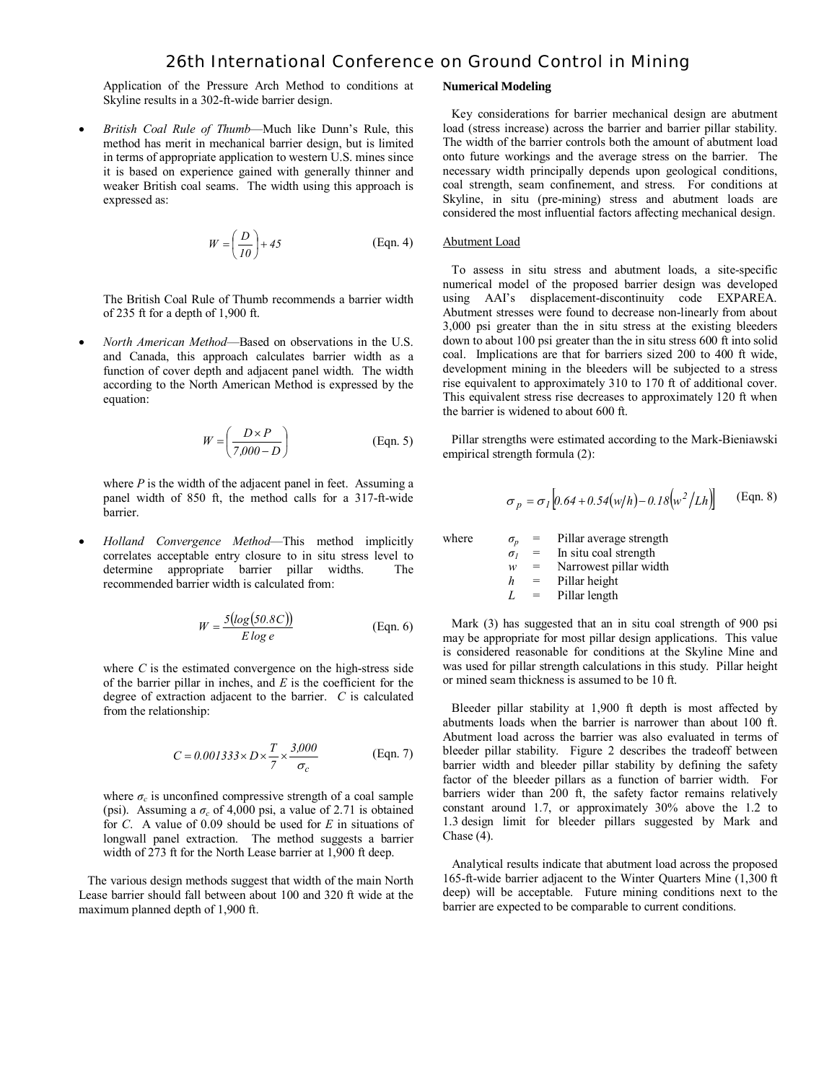Application of the Pressure Arch Method to conditions at Skyline results in a 302-ft-wide barrier design.

• *British Coal Rule of Thumb*—Much like Dunn's Rule, this method has merit in mechanical barrier design, but is limited in terms of appropriate application to western U.S. mines since it is based on experience gained with generally thinner and weaker British coal seams. The width using this approach is expressed as:

$$
W = \left(\frac{D}{10}\right) + 45
$$
 (Eqn. 4)

 The British Coal Rule of Thumb recommends a barrier width of 235 ft for a depth of 1,900 ft.

• *North American Method*—Based on observations in the U.S. and Canada, this approach calculates barrier width as a function of cover depth and adjacent panel width. The width according to the North American Method is expressed by the equation:

$$
W = \left(\frac{D \times P}{7,000 - D}\right) \tag{Eqn. 5}
$$

where *P* is the width of the adjacent panel in feet. Assuming a panel width of 850 ft, the method calls for a 317-ft-wide barrier.

• *Holland Convergence Method*—This method implicitly correlates acceptable entry closure to in situ stress level to determine appropriate barrier pillar widths. The recommended barrier width is calculated from:

$$
W = \frac{5(log(50.8C))}{E log e}
$$
 (Eqn. 6)

where *C* is the estimated convergence on the high-stress side of the barrier pillar in inches, and *E* is the coefficient for the degree of extraction adjacent to the barrier. *C* is calculated from the relationship:

$$
C = 0.001333 \times D \times \frac{T}{7} \times \frac{3,000}{\sigma_c}
$$
 (Eqn. 7)

where  $\sigma_c$  is unconfined compressive strength of a coal sample (psi). Assuming a  $\sigma_c$  of 4,000 psi, a value of 2.71 is obtained for *C*. A value of 0.09 should be used for *E* in situations of longwall panel extraction. The method suggests a barrier width of 273 ft for the North Lease barrier at 1,900 ft deep.

 The various design methods suggest that width of the main North Lease barrier should fall between about 100 and 320 ft wide at the maximum planned depth of 1,900 ft.

#### **Numerical Modeling**

 Key considerations for barrier mechanical design are abutment load (stress increase) across the barrier and barrier pillar stability. The width of the barrier controls both the amount of abutment load onto future workings and the average stress on the barrier. The necessary width principally depends upon geological conditions, coal strength, seam confinement, and stress. For conditions at Skyline, in situ (pre-mining) stress and abutment loads are considered the most influential factors affecting mechanical design.

### Abutment Load

 To assess in situ stress and abutment loads, a site-specific numerical model of the proposed barrier design was developed using AAI's displacement-discontinuity code EXPAREA. Abutment stresses were found to decrease non-linearly from about 3,000 psi greater than the in situ stress at the existing bleeders down to about 100 psi greater than the in situ stress 600 ft into solid coal. Implications are that for barriers sized 200 to 400 ft wide, development mining in the bleeders will be subjected to a stress rise equivalent to approximately 310 to 170 ft of additional cover. This equivalent stress rise decreases to approximately 120 ft when the barrier is widened to about 600 ft.

 Pillar strengths were estimated according to the Mark-Bieniawski empirical strength formula (2):

$$
\sigma_p = \sigma_I [0.64 + 0.54(w/h) - 0.18(w^2/Lh)]
$$
 (Eqn. 8)

where  $\sigma_p$  = Pillar average strength  $\sigma_l$  = In situ coal strength  $w =$  Narrowest pillar width *h* = Pillar height  $L =$  Pillar length

 Mark (3) has suggested that an in situ coal strength of 900 psi may be appropriate for most pillar design applications. This value is considered reasonable for conditions at the Skyline Mine and was used for pillar strength calculations in this study. Pillar height or mined seam thickness is assumed to be 10 ft.

 Bleeder pillar stability at 1,900 ft depth is most affected by abutments loads when the barrier is narrower than about 100 ft. Abutment load across the barrier was also evaluated in terms of bleeder pillar stability. Figure 2 describes the tradeoff between barrier width and bleeder pillar stability by defining the safety factor of the bleeder pillars as a function of barrier width. For barriers wider than 200 ft, the safety factor remains relatively constant around 1.7, or approximately 30% above the 1.2 to 1.3 design limit for bleeder pillars suggested by Mark and Chase  $(4)$ .

 Analytical results indicate that abutment load across the proposed 165-ft-wide barrier adjacent to the Winter Quarters Mine (1,300 ft deep) will be acceptable. Future mining conditions next to the barrier are expected to be comparable to current conditions.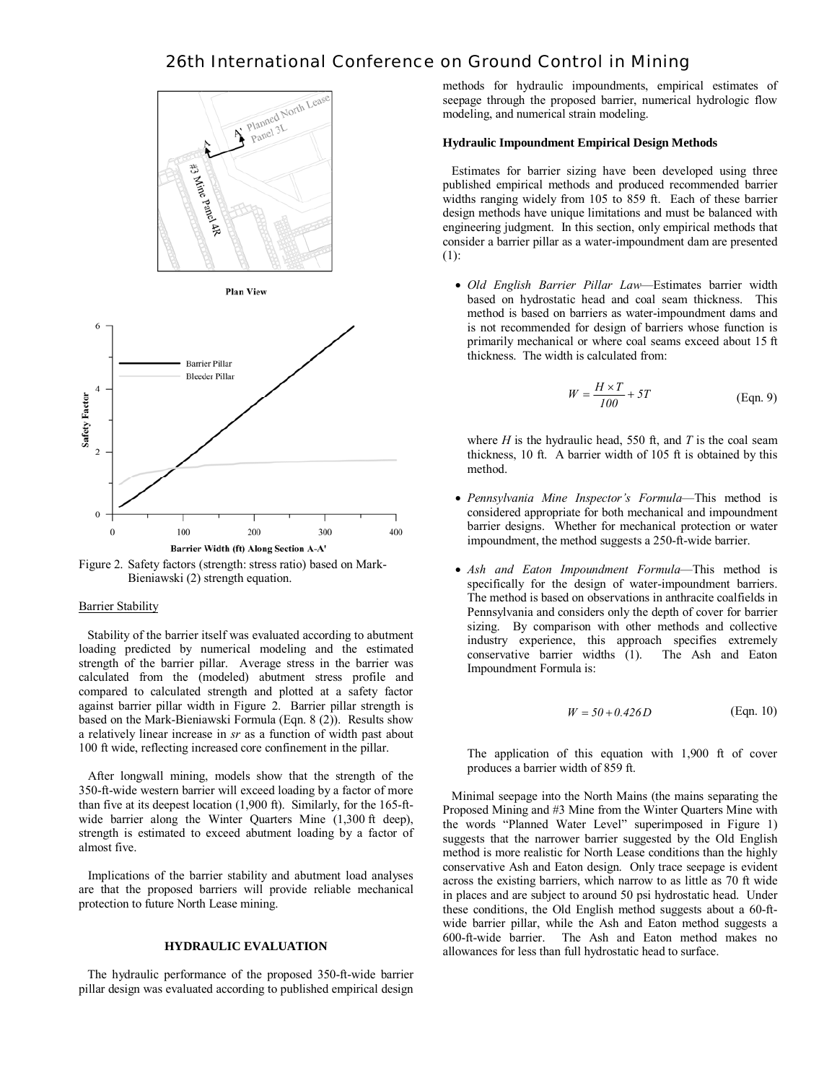





Figure 2. Safety factors (strength: stress ratio) based on Mark-Bieniawski (2) strength equation.

### **Barrier Stability**

 Stability of the barrier itself was evaluated according to abutment loading predicted by numerical modeling and the estimated strength of the barrier pillar. Average stress in the barrier was calculated from the (modeled) abutment stress profile and compared to calculated strength and plotted at a safety factor against barrier pillar width in Figure 2. Barrier pillar strength is based on the Mark-Bieniawski Formula (Eqn. 8 (2)). Results show a relatively linear increase in *sr* as a function of width past about 100 ft wide, reflecting increased core confinement in the pillar.

 After longwall mining, models show that the strength of the 350-ft-wide western barrier will exceed loading by a factor of more than five at its deepest location (1,900 ft). Similarly, for the 165-ftwide barrier along the Winter Quarters Mine (1,300 ft deep), strength is estimated to exceed abutment loading by a factor of almost five.

 Implications of the barrier stability and abutment load analyses are that the proposed barriers will provide reliable mechanical protection to future North Lease mining.

### **HYDRAULIC EVALUATION**

 The hydraulic performance of the proposed 350-ft-wide barrier pillar design was evaluated according to published empirical design methods for hydraulic impoundments, empirical estimates of seepage through the proposed barrier, numerical hydrologic flow modeling, and numerical strain modeling.

### **Hydraulic Impoundment Empirical Design Methods**

 Estimates for barrier sizing have been developed using three published empirical methods and produced recommended barrier widths ranging widely from 105 to 859 ft. Each of these barrier design methods have unique limitations and must be balanced with engineering judgment. In this section, only empirical methods that consider a barrier pillar as a water-impoundment dam are presented (1):

• *Old English Barrier Pillar Law*—Estimates barrier width based on hydrostatic head and coal seam thickness. This method is based on barriers as water-impoundment dams and is not recommended for design of barriers whose function is primarily mechanical or where coal seams exceed about 15 ft thickness. The width is calculated from:

$$
W = \frac{H \times T}{100} + 5T
$$
 (Eqn. 9)

where  $H$  is the hydraulic head, 550 ft, and  $T$  is the coal seam thickness, 10 ft. A barrier width of 105 ft is obtained by this method.

- *Pennsylvania Mine Inspector's Formula*—This method is considered appropriate for both mechanical and impoundment barrier designs. Whether for mechanical protection or water impoundment, the method suggests a 250-ft-wide barrier.
- *Ash and Eaton Impoundment Formula*—This method is specifically for the design of water-impoundment barriers. The method is based on observations in anthracite coalfields in Pennsylvania and considers only the depth of cover for barrier sizing. By comparison with other methods and collective industry experience, this approach specifies extremely conservative barrier widths (1). The Ash and Eaton Impoundment Formula is:

$$
W = 50 + 0.426 D
$$
 (Eqn. 10)

The application of this equation with 1,900 ft of cover produces a barrier width of 859 ft.

 Minimal seepage into the North Mains (the mains separating the Proposed Mining and #3 Mine from the Winter Quarters Mine with the words "Planned Water Level" superimposed in Figure 1) suggests that the narrower barrier suggested by the Old English method is more realistic for North Lease conditions than the highly conservative Ash and Eaton design. Only trace seepage is evident across the existing barriers, which narrow to as little as 70 ft wide in places and are subject to around 50 psi hydrostatic head. Under these conditions, the Old English method suggests about a 60-ftwide barrier pillar, while the Ash and Eaton method suggests a 600-ft-wide barrier. The Ash and Eaton method makes no allowances for less than full hydrostatic head to surface.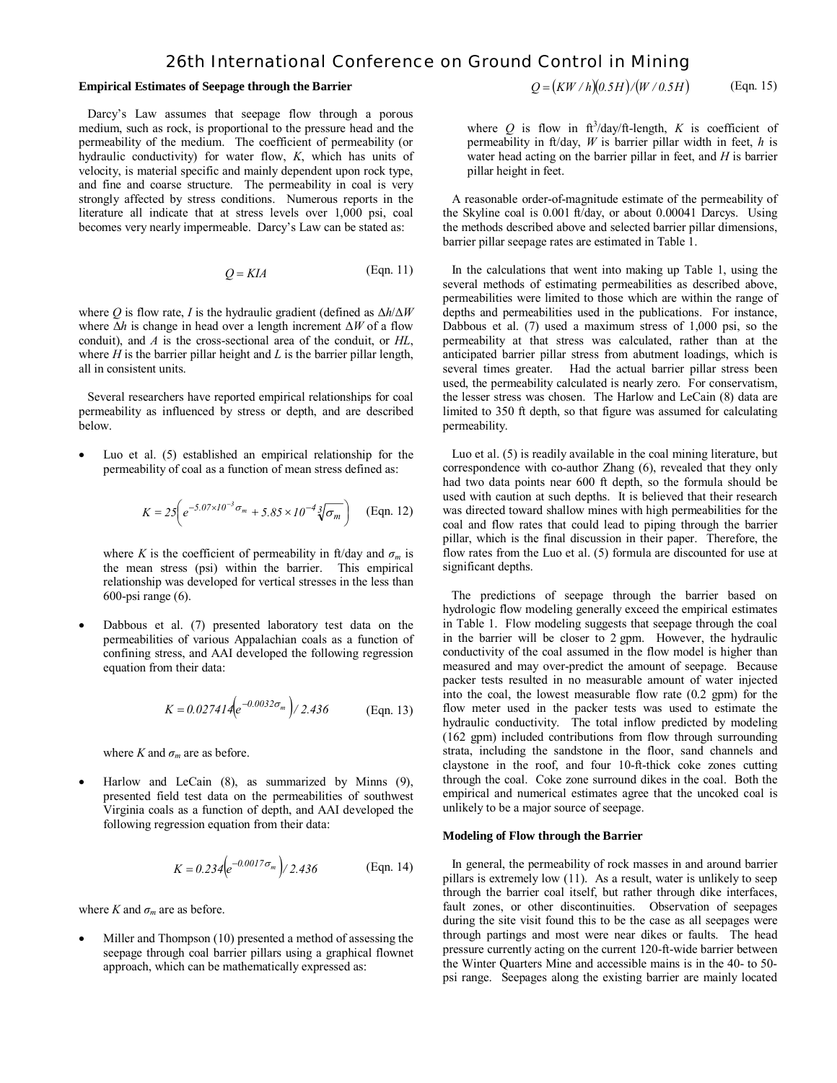#### **Empirical Estimates of Seepage through the Barrier**

 Darcy's Law assumes that seepage flow through a porous medium, such as rock, is proportional to the pressure head and the permeability of the medium. The coefficient of permeability (or hydraulic conductivity) for water flow, *K*, which has units of velocity, is material specific and mainly dependent upon rock type, and fine and coarse structure. The permeability in coal is very strongly affected by stress conditions. Numerous reports in the literature all indicate that at stress levels over 1,000 psi, coal becomes very nearly impermeable. Darcy's Law can be stated as:

$$
Q = KIA
$$
 (Eqn. 11)

where *Q* is flow rate, *I* is the hydraulic gradient (defined as Δ*h*/Δ*W* where  $\Delta h$  is change in head over a length increment  $\Delta W$  of a flow conduit), and *A* is the cross-sectional area of the conduit, or *HL*, where *H* is the barrier pillar height and *L* is the barrier pillar length, all in consistent units.

 Several researchers have reported empirical relationships for coal permeability as influenced by stress or depth, and are described below.

Luo et al. (5) established an empirical relationship for the permeability of coal as a function of mean stress defined as:

$$
K = 25 \left( e^{-5.07 \times 10^{-3} \sigma_m} + 5.85 \times 10^{-4} \sqrt[3]{\sigma_m} \right) \quad \text{(Eqn. 12)}
$$

where *K* is the coefficient of permeability in ft/day and  $\sigma_m$  is the mean stress (psi) within the barrier. This empirical relationship was developed for vertical stresses in the less than 600-psi range (6).

• Dabbous et al. (7) presented laboratory test data on the permeabilities of various Appalachian coals as a function of confining stress, and AAI developed the following regression equation from their data:

$$
K = 0.027414 \left( e^{-0.0032 \sigma_m} \right) / 2.436
$$
 (Eqn. 13)

where *K* and  $\sigma_m$  are as before.

• Harlow and LeCain (8), as summarized by Minns (9), presented field test data on the permeabilities of southwest Virginia coals as a function of depth, and AAI developed the following regression equation from their data:

$$
K = 0.234 \left( e^{-0.0017 \sigma_m} \right) / 2.436
$$
 (Eqn. 14)

where *K* and  $\sigma_m$  are as before.

Miller and Thompson (10) presented a method of assessing the seepage through coal barrier pillars using a graphical flownet approach, which can be mathematically expressed as:

$$
Q = (KW/h)(0.5H)/(W/0.5H) \qquad \text{(Eqn. 15)}
$$

where Q is flow in  $\text{ft}^3/\text{day}/\text{ft-length}$ , K is coefficient of permeability in ft/day, *W* is barrier pillar width in feet, *h* is water head acting on the barrier pillar in feet, and *H* is barrier pillar height in feet.

 A reasonable order-of-magnitude estimate of the permeability of the Skyline coal is 0.001 ft/day, or about 0.00041 Darcys. Using the methods described above and selected barrier pillar dimensions, barrier pillar seepage rates are estimated in Table 1.

 In the calculations that went into making up Table 1, using the several methods of estimating permeabilities as described above, permeabilities were limited to those which are within the range of depths and permeabilities used in the publications. For instance, Dabbous et al. (7) used a maximum stress of 1,000 psi, so the permeability at that stress was calculated, rather than at the anticipated barrier pillar stress from abutment loadings, which is several times greater. Had the actual barrier pillar stress been used, the permeability calculated is nearly zero. For conservatism, the lesser stress was chosen. The Harlow and LeCain (8) data are limited to 350 ft depth, so that figure was assumed for calculating permeability.

 Luo et al. (5) is readily available in the coal mining literature, but correspondence with co-author Zhang (6), revealed that they only had two data points near 600 ft depth, so the formula should be used with caution at such depths. It is believed that their research was directed toward shallow mines with high permeabilities for the coal and flow rates that could lead to piping through the barrier pillar, which is the final discussion in their paper. Therefore, the flow rates from the Luo et al. (5) formula are discounted for use at significant depths.

 The predictions of seepage through the barrier based on hydrologic flow modeling generally exceed the empirical estimates in Table 1. Flow modeling suggests that seepage through the coal in the barrier will be closer to 2 gpm. However, the hydraulic conductivity of the coal assumed in the flow model is higher than measured and may over-predict the amount of seepage. Because packer tests resulted in no measurable amount of water injected into the coal, the lowest measurable flow rate (0.2 gpm) for the flow meter used in the packer tests was used to estimate the hydraulic conductivity. The total inflow predicted by modeling (162 gpm) included contributions from flow through surrounding strata, including the sandstone in the floor, sand channels and claystone in the roof, and four 10-ft-thick coke zones cutting through the coal. Coke zone surround dikes in the coal. Both the empirical and numerical estimates agree that the uncoked coal is unlikely to be a major source of seepage.

#### **Modeling of Flow through the Barrier**

 In general, the permeability of rock masses in and around barrier pillars is extremely low (11). As a result, water is unlikely to seep through the barrier coal itself, but rather through dike interfaces, fault zones, or other discontinuities. Observation of seepages during the site visit found this to be the case as all seepages were through partings and most were near dikes or faults. The head pressure currently acting on the current 120-ft-wide barrier between the Winter Quarters Mine and accessible mains is in the 40- to 50 psi range. Seepages along the existing barrier are mainly located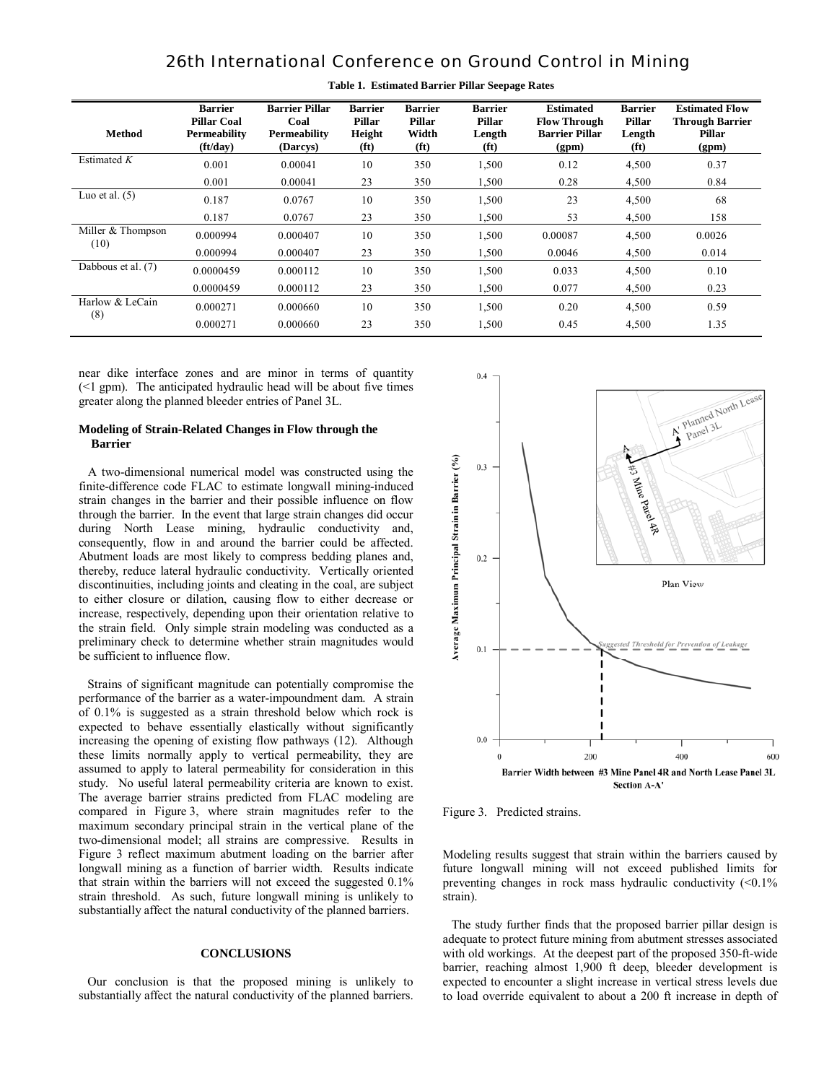| Method                    | <b>Barrier</b><br><b>Pillar Coal</b><br><b>Permeability</b><br>$({\rm ft}/d{\rm av})$ | <b>Barrier Pillar</b><br>Coal<br>Permeability<br>(Darcys) | <b>Barrier</b><br><b>Pillar</b><br>Height<br>(f <sub>t</sub> ) | <b>Barrier</b><br><b>Pillar</b><br>Width<br>(f <sub>t</sub> ) | <b>Barrier</b><br>Pillar<br>Length<br>(f <sup>t</sup> ) | <b>Estimated</b><br><b>Flow Through</b><br><b>Barrier Pillar</b><br>(gpm) | <b>Barrier</b><br><b>Pillar</b><br>Length<br>(f <sup>t</sup> ) | <b>Estimated Flow</b><br><b>Through Barrier</b><br>Pillar<br>(gpm) |
|---------------------------|---------------------------------------------------------------------------------------|-----------------------------------------------------------|----------------------------------------------------------------|---------------------------------------------------------------|---------------------------------------------------------|---------------------------------------------------------------------------|----------------------------------------------------------------|--------------------------------------------------------------------|
| Estimated $K$             | 0.001                                                                                 | 0.00041                                                   | 10                                                             | 350                                                           | 1,500                                                   | 0.12                                                                      | 4,500                                                          | 0.37                                                               |
|                           | 0.001                                                                                 | 0.00041                                                   | 23                                                             | 350                                                           | 1,500                                                   | 0.28                                                                      | 4,500                                                          | 0.84                                                               |
| Luo et al. $(5)$          | 0.187                                                                                 | 0.0767                                                    | 10                                                             | 350                                                           | 1,500                                                   | 23                                                                        | 4,500                                                          | 68                                                                 |
|                           | 0.187                                                                                 | 0.0767                                                    | 23                                                             | 350                                                           | 1.500                                                   | 53                                                                        | 4,500                                                          | 158                                                                |
| Miller & Thompson<br>(10) | 0.000994                                                                              | 0.000407                                                  | 10                                                             | 350                                                           | 1,500                                                   | 0.00087                                                                   | 4,500                                                          | 0.0026                                                             |
|                           | 0.000994                                                                              | 0.000407                                                  | 23                                                             | 350                                                           | 1.500                                                   | 0.0046                                                                    | 4,500                                                          | 0.014                                                              |
| Dabbous et al. (7)        | 0.0000459                                                                             | 0.000112                                                  | 10                                                             | 350                                                           | 1,500                                                   | 0.033                                                                     | 4,500                                                          | 0.10                                                               |
|                           | 0.0000459                                                                             | 0.000112                                                  | 23                                                             | 350                                                           | 1,500                                                   | 0.077                                                                     | 4,500                                                          | 0.23                                                               |
| Harlow & LeCain<br>(8)    | 0.000271                                                                              | 0.000660                                                  | 10                                                             | 350                                                           | 1,500                                                   | 0.20                                                                      | 4,500                                                          | 0.59                                                               |
|                           | 0.000271                                                                              | 0.000660                                                  | 23                                                             | 350                                                           | 1,500                                                   | 0.45                                                                      | 4,500                                                          | 1.35                                                               |

**Table 1. Estimated Barrier Pillar Seepage Rates**

near dike interface zones and are minor in terms of quantity (<1 gpm). The anticipated hydraulic head will be about five times greater along the planned bleeder entries of Panel 3L.

#### **Modeling of Strain-Related Changes in Flow through the Barrier**

 A two-dimensional numerical model was constructed using the finite-difference code FLAC to estimate longwall mining-induced strain changes in the barrier and their possible influence on flow through the barrier. In the event that large strain changes did occur during North Lease mining, hydraulic conductivity and, consequently, flow in and around the barrier could be affected. Abutment loads are most likely to compress bedding planes and, thereby, reduce lateral hydraulic conductivity. Vertically oriented discontinuities, including joints and cleating in the coal, are subject to either closure or dilation, causing flow to either decrease or increase, respectively, depending upon their orientation relative to the strain field. Only simple strain modeling was conducted as a preliminary check to determine whether strain magnitudes would be sufficient to influence flow.

 Strains of significant magnitude can potentially compromise the performance of the barrier as a water-impoundment dam. A strain of 0.1% is suggested as a strain threshold below which rock is expected to behave essentially elastically without significantly increasing the opening of existing flow pathways (12). Although these limits normally apply to vertical permeability, they are assumed to apply to lateral permeability for consideration in this study. No useful lateral permeability criteria are known to exist. The average barrier strains predicted from FLAC modeling are compared in Figure 3, where strain magnitudes refer to the maximum secondary principal strain in the vertical plane of the two-dimensional model; all strains are compressive. Results in Figure 3 reflect maximum abutment loading on the barrier after longwall mining as a function of barrier width. Results indicate that strain within the barriers will not exceed the suggested 0.1% strain threshold. As such, future longwall mining is unlikely to substantially affect the natural conductivity of the planned barriers.

### **CONCLUSIONS**

 Our conclusion is that the proposed mining is unlikely to substantially affect the natural conductivity of the planned barriers.



Figure 3. Predicted strains.

Modeling results suggest that strain within the barriers caused by future longwall mining will not exceed published limits for preventing changes in rock mass hydraulic conductivity  $\left($  <0.1% strain).

 The study further finds that the proposed barrier pillar design is adequate to protect future mining from abutment stresses associated with old workings. At the deepest part of the proposed 350-ft-wide barrier, reaching almost 1,900 ft deep, bleeder development is expected to encounter a slight increase in vertical stress levels due to load override equivalent to about a 200 ft increase in depth of